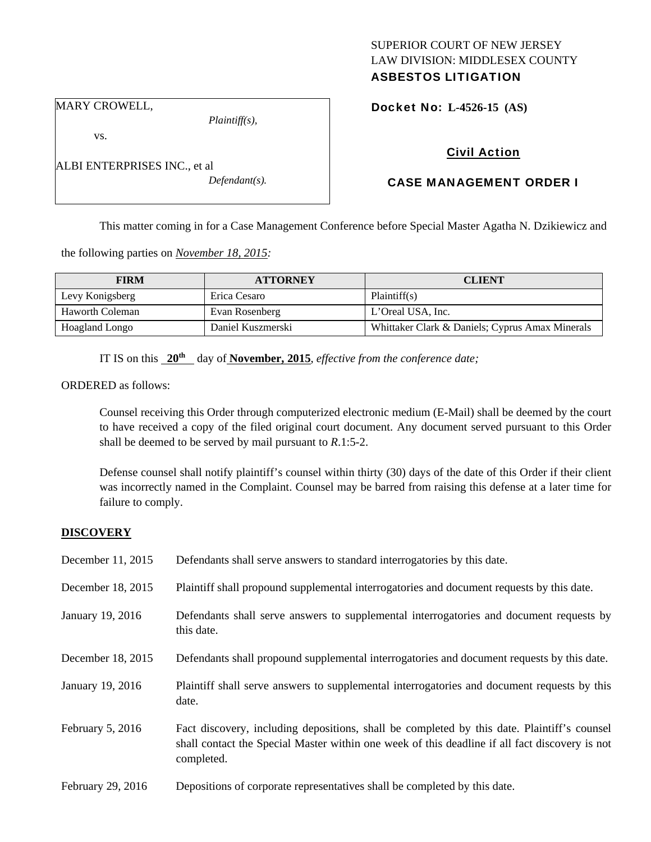# SUPERIOR COURT OF NEW JERSEY LAW DIVISION: MIDDLESEX COUNTY ASBESTOS LITIGATION

MARY CROWELL,

vs.

ALBI ENTERPRISES INC., et al *Defendant(s).* 

*Plaintiff(s),* 

Docket No: **L-4526-15 (AS)** 

# Civil Action

# CASE MANAGEMENT ORDER I

This matter coming in for a Case Management Conference before Special Master Agatha N. Dzikiewicz and

the following parties on *November 18, 2015:* 

| <b>FIRM</b>            | <b>ATTORNEY</b>   | <b>CLIENT</b>                                   |
|------------------------|-------------------|-------------------------------------------------|
| Levy Konigsberg        | Erica Cesaro      | Plaintiff(s)                                    |
| <b>Haworth Coleman</b> | Evan Rosenberg    | L'Oreal USA, Inc.                               |
| Hoagland Longo         | Daniel Kuszmerski | Whittaker Clark & Daniels; Cyprus Amax Minerals |

IT IS on this **20th** day of **November, 2015**, *effective from the conference date;*

ORDERED as follows:

Counsel receiving this Order through computerized electronic medium (E-Mail) shall be deemed by the court to have received a copy of the filed original court document. Any document served pursuant to this Order shall be deemed to be served by mail pursuant to *R*.1:5-2.

Defense counsel shall notify plaintiff's counsel within thirty (30) days of the date of this Order if their client was incorrectly named in the Complaint. Counsel may be barred from raising this defense at a later time for failure to comply.

## **DISCOVERY**

| December 11, 2015 | Defendants shall serve answers to standard interrogatories by this date.                                                                                                                                    |
|-------------------|-------------------------------------------------------------------------------------------------------------------------------------------------------------------------------------------------------------|
| December 18, 2015 | Plaintiff shall propound supplemental interrogatories and document requests by this date.                                                                                                                   |
| January 19, 2016  | Defendants shall serve answers to supplemental interrogatories and document requests by<br>this date.                                                                                                       |
| December 18, 2015 | Defendants shall propound supplemental interrogatories and document requests by this date.                                                                                                                  |
| January 19, 2016  | Plaintiff shall serve answers to supplemental interrogatories and document requests by this<br>date.                                                                                                        |
| February 5, 2016  | Fact discovery, including depositions, shall be completed by this date. Plaintiff's counsel<br>shall contact the Special Master within one week of this deadline if all fact discovery is not<br>completed. |
| February 29, 2016 | Depositions of corporate representatives shall be completed by this date.                                                                                                                                   |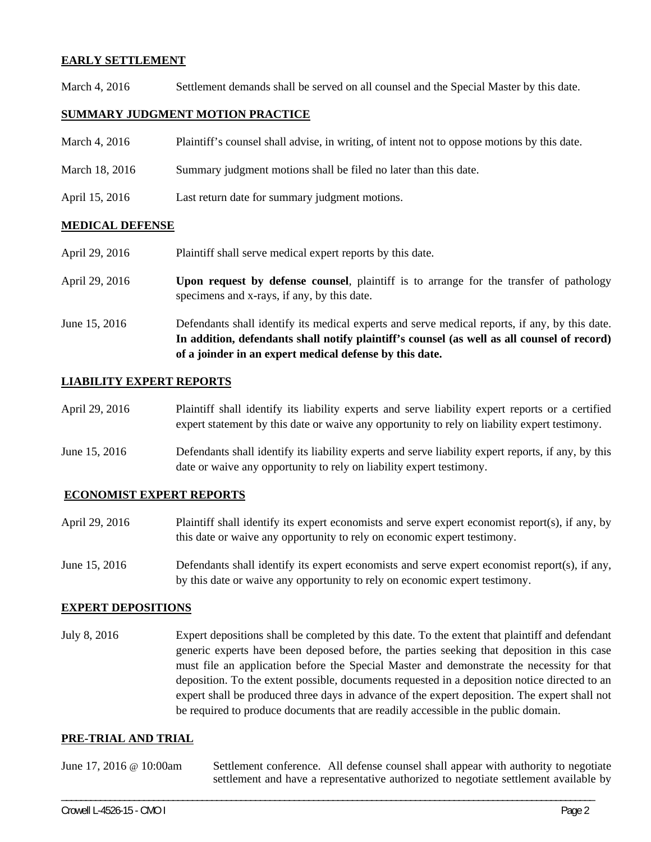### **EARLY SETTLEMENT**

March 4, 2016 Settlement demands shall be served on all counsel and the Special Master by this date.

## **SUMMARY JUDGMENT MOTION PRACTICE**

| March 4, 2016 | Plaintiff's counsel shall advise, in writing, of intent not to oppose motions by this date. |  |  |
|---------------|---------------------------------------------------------------------------------------------|--|--|
|               |                                                                                             |  |  |

- March 18, 2016 Summary judgment motions shall be filed no later than this date.
- April 15, 2016 Last return date for summary judgment motions.

### **MEDICAL DEFENSE**

- April 29, 2016 Plaintiff shall serve medical expert reports by this date.
- April 29, 2016 **Upon request by defense counsel**, plaintiff is to arrange for the transfer of pathology specimens and x-rays, if any, by this date.
- June 15, 2016 Defendants shall identify its medical experts and serve medical reports, if any, by this date. **In addition, defendants shall notify plaintiff's counsel (as well as all counsel of record) of a joinder in an expert medical defense by this date.**

### **LIABILITY EXPERT REPORTS**

| April 29, 2016 | Plaintiff shall identify its liability experts and serve liability expert reports or a certified |
|----------------|--------------------------------------------------------------------------------------------------|
|                | expert statement by this date or waive any opportunity to rely on liability expert testimony.    |

June 15, 2016 Defendants shall identify its liability experts and serve liability expert reports, if any, by this date or waive any opportunity to rely on liability expert testimony.

#### **ECONOMIST EXPERT REPORTS**

- April 29, 2016 Plaintiff shall identify its expert economists and serve expert economist report(s), if any, by this date or waive any opportunity to rely on economic expert testimony.
- June 15, 2016 Defendants shall identify its expert economists and serve expert economist report(s), if any, by this date or waive any opportunity to rely on economic expert testimony.

#### **EXPERT DEPOSITIONS**

July 8, 2016 Expert depositions shall be completed by this date. To the extent that plaintiff and defendant generic experts have been deposed before, the parties seeking that deposition in this case must file an application before the Special Master and demonstrate the necessity for that deposition. To the extent possible, documents requested in a deposition notice directed to an expert shall be produced three days in advance of the expert deposition. The expert shall not be required to produce documents that are readily accessible in the public domain.

#### **PRE-TRIAL AND TRIAL**

| June 17, 2016 $\omega$ 10:00am | Settlement conference. All defense counsel shall appear with authority to negotiate  |  |  |
|--------------------------------|--------------------------------------------------------------------------------------|--|--|
|                                | settlement and have a representative authorized to negotiate settlement available by |  |  |

\_\_\_\_\_\_\_\_\_\_\_\_\_\_\_\_\_\_\_\_\_\_\_\_\_\_\_\_\_\_\_\_\_\_\_\_\_\_\_\_\_\_\_\_\_\_\_\_\_\_\_\_\_\_\_\_\_\_\_\_\_\_\_\_\_\_\_\_\_\_\_\_\_\_\_\_\_\_\_\_\_\_\_\_\_\_\_\_\_\_\_\_\_\_\_\_\_\_\_\_\_\_\_\_\_\_\_\_\_\_